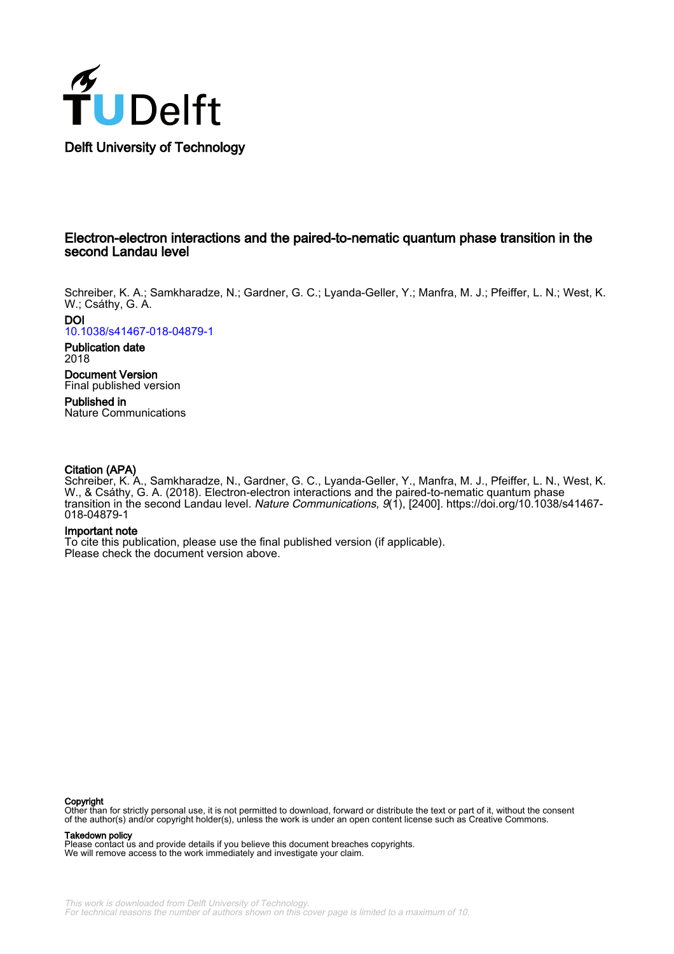

# Electron-electron interactions and the paired-to-nematic quantum phase transition in the second Landau level

Schreiber, K. A.; Samkharadze, N.; Gardner, G. C.; Lyanda-Geller, Y.; Manfra, M. J.; Pfeiffer, L. N.; West, K. W.; Csáthy, G. A.

DOI [10.1038/s41467-018-04879-1](https://doi.org/10.1038/s41467-018-04879-1)

Publication date 2018

Document Version Final published version Published in

Nature Communications

## Citation (APA)

Schreiber, K. A., Samkharadze, N., Gardner, G. C., Lyanda-Geller, Y., Manfra, M. J., Pfeiffer, L. N., West, K. W., & Csáthy, G. A. (2018). Electron-electron interactions and the paired-to-nematic quantum phase transition in the second Landau level. Nature Communications, 9(1), [2400]. [https://doi.org/10.1038/s41467-](https://doi.org/10.1038/s41467-018-04879-1) [018-04879-1](https://doi.org/10.1038/s41467-018-04879-1)

### Important note

To cite this publication, please use the final published version (if applicable). Please check the document version above.

#### **Copyright**

Other than for strictly personal use, it is not permitted to download, forward or distribute the text or part of it, without the consent<br>of the author(s) and/or copyright holder(s), unless the work is under an open content

Takedown policy

Please contact us and provide details if you believe this document breaches copyrights. We will remove access to the work immediately and investigate your claim.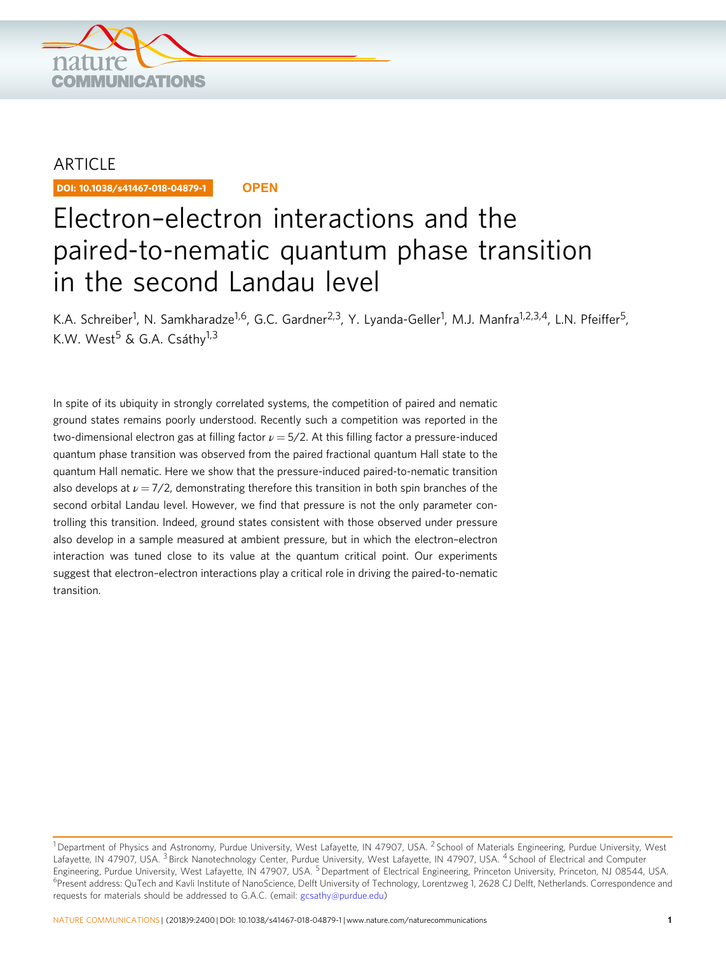

# **ARTICLE**

DOI: 10.1038/s41467-018-04879-1 **OPEN**

# Electron–electron interactions and the paired-to-nematic quantum phase transition in the second Landau level

K.A. Schreiber<sup>1</sup>, N. Samkharadze<sup>1,6</sup>, G.C. Gardner<sup>2,3</sup>, Y. Lyanda-Geller<sup>1</sup>, M.J. Manfra<sup>1,2,3,4</sup>, L.N. Pfeiffer<sup>5</sup>, K.W. West<sup>5</sup> & G.A. Csáthy<sup>1,3</sup>

In spite of its ubiquity in strongly correlated systems, the competition of paired and nematic ground states remains poorly understood. Recently such a competition was reported in the two-dimensional electron gas at filling factor  $\nu = 5/2$ . At this filling factor a pressure-induced quantum phase transition was observed from the paired fractional quantum Hall state to the quantum Hall nematic. Here we show that the pressure-induced paired-to-nematic transition also develops at  $\nu = \frac{7}{2}$ , demonstrating therefore this transition in both spin branches of the second orbital Landau level. However, we find that pressure is not the only parameter controlling this transition. Indeed, ground states consistent with those observed under pressure also develop in a sample measured at ambient pressure, but in which the electron–electron interaction was tuned close to its value at the quantum critical point. Our experiments suggest that electron–electron interactions play a critical role in driving the paired-to-nematic transition.

<sup>&</sup>lt;sup>1</sup> Department of Physics and Astronomy, Purdue University, West Lafayette, IN 47907, USA. <sup>2</sup> School of Materials Engineering, Purdue University, West Lafayette, IN 47907, USA.<sup>3</sup> Birck Nanotechnology Center, Purdue University, West Lafayette, IN 47907, USA. <sup>4</sup> School of Electrical and Computer Engineering, Purdue University, West Lafayette, IN 47907, USA. <sup>5</sup> Department of Electrical Engineering, Princeton University, Princeton, NJ 08544, USA. <sup>6</sup> Present address: QuTech and Kavli Institute of NanoScience, Delft University of Technology, Lorentzweg 1, 2628 CJ Delft, Netherlands. Correspondence and requests for materials should be addressed to G.A.C. (email: [gcsathy@purdue.edu\)](mailto:gcsathy@purdue.edu)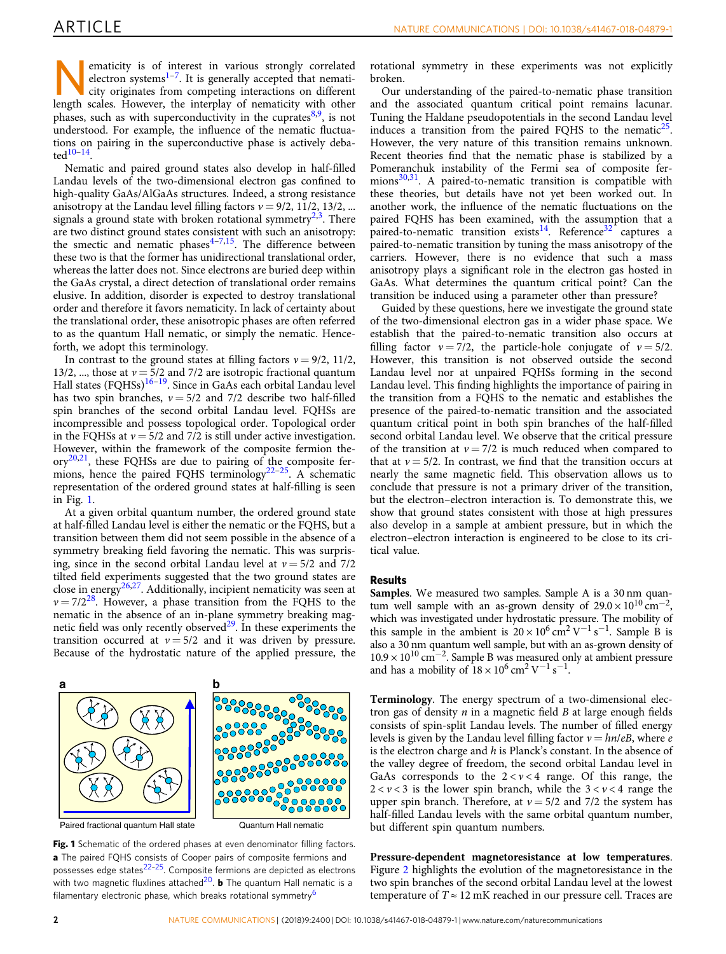**Nematicity is of interest in various strongly correlated**<br>electron systems<sup>1-7</sup>. It is generally accepted that nemati-<br>city originates from competing interactions on different<br>lengths collors. However, the internal of pr electron systems<sup>[1](#page-6-0)-7</sup>. It is generally accepted that nematicity originates from competing interactions on different length scales. However, the interplay of nematicity with other phases, such as with superconductivity in the cuprates $8,9$ , is not understood. For example, the influence of the nematic fluctuations on pairing in the superconductive phase is actively deba- $ted^{10-14}$  $ted^{10-14}$  $ted^{10-14}$ .

Nematic and paired ground states also develop in half-filled Landau levels of the two-dimensional electron gas confined to high-quality GaAs/AlGaAs structures. Indeed, a strong resistance anisotropy at the Landau level filling factors  $v = 9/2$ , 11/2, 13/2, ... signals a ground state with broken rotational symmetry<sup>[2](#page-6-0),3</sup>. There are two distinct ground states consistent with such an anisotropy: the smectic and nematic phases $4-7,15$  $4-7,15$  $4-7,15$  $4-7,15$  $4-7,15$ . The difference between these two is that the former has unidirectional translational order, whereas the latter does not. Since electrons are buried deep within the GaAs crystal, a direct detection of translational order remains elusive. In addition, disorder is expected to destroy translational order and therefore it favors nematicity. In lack of certainty about the translational order, these anisotropic phases are often referred to as the quantum Hall nematic, or simply the nematic. Henceforth, we adopt this terminology.

In contrast to the ground states at filling factors  $v = 9/2$ , 11/2, 13/2, ..., those at  $v = 5/2$  and 7/2 are isotropic fractional quantum Hall states (FQHSs)<sup>[16](#page-6-0)–[19](#page-6-0)</sup>. Since in GaAs each orbital Landau level has two spin branches,  $v = 5/2$  and  $7/2$  describe two half-filled spin branches of the second orbital Landau level. FQHSs are incompressible and possess topological order. Topological order in the FQHSs at  $v = 5/2$  and 7/2 is still under active investigation. However, within the framework of the composite fermion the- $\text{ory}^{20,21}$  $\text{ory}^{20,21}$  $\text{ory}^{20,21}$ , these FQHSs are due to pairing of the composite fer-mions, hence the paired FQHS terminology<sup>[22](#page-6-0)-25</sup>. A schematic representation of the ordered ground states at half-filling is seen in Fig. 1.

At a given orbital quantum number, the ordered ground state at half-filled Landau level is either the nematic or the FQHS, but a transition between them did not seem possible in the absence of a symmetry breaking field favoring the nematic. This was surprising, since in the second orbital Landau level at  $v = 5/2$  and  $7/2$ tilted field experiments suggested that the two ground states are close in energy<sup>26,27</sup>. Additionally, incipient nematicity was seen at  $v = 7/2^{28}$  $v = 7/2^{28}$  $v = 7/2^{28}$ . However, a phase transition from the FQHS to the nematic in the absence of an in-plane symmetry breaking magnetic field was only recently observed $29$ . In these experiments the transition occurred at  $v = 5/2$  and it was driven by pressure. Because of the hydrostatic nature of the applied pressure, the



Paired fractional quantum Hall state Quantum Hall nematic

Fig. 1 Schematic of the ordered phases at even denominator filling factors. a The paired FQHS consists of Cooper pairs of composite fermions and possesses edge states[22](#page-6-0)–[25](#page-6-0). Composite fermions are depicted as electrons with two magnetic fluxlines attached $^{20}$  $^{20}$  $^{20}$ . **b** The quantum Hall nematic is a filamentary electronic phase, which breaks rotational symmetry<sup>6</sup>

rotational symmetry in these experiments was not explicitly broken.

Our understanding of the paired-to-nematic phase transition and the associated quantum critical point remains lacunar. Tuning the Haldane pseudopotentials in the second Landau level induces a transition from the paired FOHS to the nematic $2^5$ . However, the very nature of this transition remains unknown. Recent theories find that the nematic phase is stabilized by a Pomeranchuk instability of the Fermi sea of composite fer- $mions<sup>30,31</sup>$  $mions<sup>30,31</sup>$  $mions<sup>30,31</sup>$  $mions<sup>30,31</sup>$  $mions<sup>30,31</sup>$ . A paired-to-nematic transition is compatible with these theories, but details have not yet been worked out. In another work, the influence of the nematic fluctuations on the paired FQHS has been examined, with the assumption that a paired-to-nematic transition exists<sup>14</sup>. Reference<sup>32</sup> captures a paired-to-nematic transition by tuning the mass anisotropy of the carriers. However, there is no evidence that such a mass anisotropy plays a significant role in the electron gas hosted in GaAs. What determines the quantum critical point? Can the transition be induced using a parameter other than pressure?

Guided by these questions, here we investigate the ground state of the two-dimensional electron gas in a wider phase space. We establish that the paired-to-nematic transition also occurs at filling factor  $v = 7/2$ , the particle-hole conjugate of  $v = 5/2$ . However, this transition is not observed outside the second Landau level nor at unpaired FQHSs forming in the second Landau level. This finding highlights the importance of pairing in the transition from a FQHS to the nematic and establishes the presence of the paired-to-nematic transition and the associated quantum critical point in both spin branches of the half-filled second orbital Landau level. We observe that the critical pressure of the transition at  $v = 7/2$  is much reduced when compared to that at  $v = 5/2$ . In contrast, we find that the transition occurs at nearly the same magnetic field. This observation allows us to conclude that pressure is not a primary driver of the transition, but the electron–electron interaction is. To demonstrate this, we show that ground states consistent with those at high pressures also develop in a sample at ambient pressure, but in which the electron–electron interaction is engineered to be close to its critical value.

#### Results

Samples. We measured two samples. Sample A is a 30 nm quantum well sample with an as-grown density of  $29.0 \times 10^{10}$  cm<sup>-2</sup>, which was investigated under hydrostatic pressure. The mobility of this sample in the ambient is  $20 \times 10^6$  cm<sup>2</sup> V<sup>-1</sup> s<sup>-1</sup>. Sample B is also a 30 nm quantum well sample, but with an as-grown density of  $10.9 \times 10^{10} \, \mathrm{cm}^{-2}$ . Sample B was measured only at ambient pressure and has a mobility of  $18 \times 10^6$  cm<sup>2</sup> V<sup>-1</sup> s<sup>-1</sup>.

Terminology. The energy spectrum of a two-dimensional electron gas of density  $n$  in a magnetic field  $B$  at large enough fields consists of spin-split Landau levels. The number of filled energy levels is given by the Landau level filling factor  $v = hn/eB$ , where e is the electron charge and  $h$  is Planck's constant. In the absence of the valley degree of freedom, the second orbital Landau level in GaAs corresponds to the  $2 < v < 4$  range. Of this range, the  $2 < v < 3$  is the lower spin branch, while the  $3 < v < 4$  range the upper spin branch. Therefore, at  $v = 5/2$  and 7/2 the system has half-filled Landau levels with the same orbital quantum number, but different spin quantum numbers.

Pressure-dependent magnetoresistance at low temperatures. Figure [2](#page-3-0) highlights the evolution of the magnetoresistance in the two spin branches of the second orbital Landau level at the lowest temperature of  $T \approx 12 \text{ mK}$  reached in our pressure cell. Traces are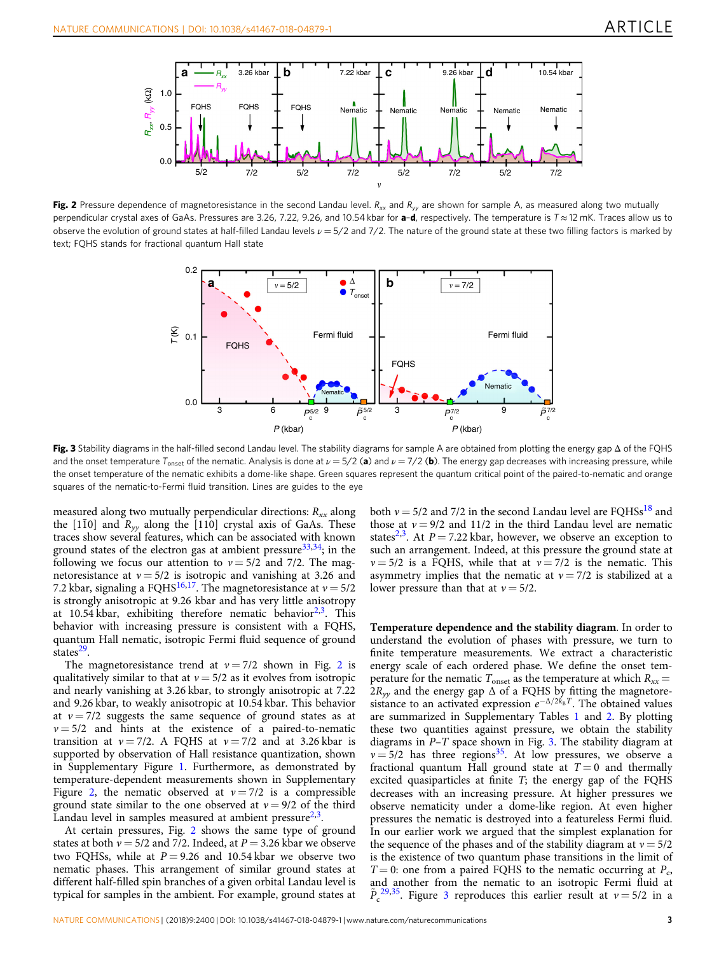<span id="page-3-0"></span>

Fig. 2 Pressure dependence of magnetoresistance in the second Landau level.  $R_{xx}$  and  $R_{yy}$  are shown for sample A, as measured along two mutually perpendicular crystal axes of GaAs. Pressures are 3.26, 7.22, 9.26, and 10.54 kbar for  $a-d$ , respectively. The temperature is  $T \approx 12$  mK. Traces allow us to observe the evolution of ground states at half-filled Landau levels  $\nu = 5/2$  and 7/2. The nature of the ground state at these two filling factors is marked by text; FQHS stands for fractional quantum Hall state



Fig. 3 Stability diagrams in the half-filled second Landau level. The stability diagrams for sample A are obtained from plotting the energy gap  $\Delta$  of the FQHS and the onset temperature  $T_{\text{onset}}$  of the nematic. Analysis is done at  $\nu = 5/2$  (a) and  $\nu = 7/2$  (b). The energy gap decreases with increasing pressure, while the onset temperature of the nematic exhibits a dome-like shape. Green squares represent the quantum critical point of the paired-to-nematic and orange squares of the nematic-to-Fermi fluid transition. Lines are guides to the eye

measured along two mutually perpendicular directions:  $R_{xx}$  along the [1 $\overline{10}$ ] and  $\overline{R_{yy}}$  along the [110] crystal axis of GaAs. These traces show several features, which can be associated with known ground states of the electron gas at ambient pressure $33,34$  $33,34$ ; in the following we focus our attention to  $v = 5/2$  and 7/2. The magnetoresistance at  $v = 5/2$  is isotropic and vanishing at 3.26 and 7.2 kbar, signaling a FQHS<sup>16,17</sup>. The magnetoresistance at  $v = 5/2$ is strongly anisotropic at 9.26 kbar and has very little anisotropy at 10.54 kbar, exhibiting therefore nematic behavior $2,3$  $2,3$ . This behavior with increasing pressure is consistent with a FQHS, quantum Hall nematic, isotropic Fermi fluid sequence of ground states $^{29}$ .

The magnetoresistance trend at  $v = 7/2$  shown in Fig. 2 is qualitatively similar to that at  $v = 5/2$  as it evolves from isotropic and nearly vanishing at 3.26 kbar, to strongly anisotropic at 7.22 and 9.26 kbar, to weakly anisotropic at 10.54 kbar. This behavior at  $v = 7/2$  suggests the same sequence of ground states as at  $v = 5/2$  and hints at the existence of a paired-to-nematic transition at  $v = 7/2$ . A FOHS at  $v = 7/2$  and at 3.26 kbar is supported by observation of Hall resistance quantization, shown in Supplementary Figure 1. Furthermore, as demonstrated by temperature-dependent measurements shown in Supplementary Figure 2, the nematic observed at  $v = 7/2$  is a compressible ground state similar to the one observed at  $v = 9/2$  of the third Landau level in samples measured at ambient pressure $2,3$  $2,3$  $2,3$ .

At certain pressures, Fig. 2 shows the same type of ground states at both  $v = 5/2$  and 7/2. Indeed, at  $P = 3.26$  kbar we observe two FQHSs, while at  $P = 9.26$  and 10.54 kbar we observe two nematic phases. This arrangement of similar ground states at different half-filled spin branches of a given orbital Landau level is typical for samples in the ambient. For example, ground states at both  $v = 5/2$  and 7/2 in the second Landau level are FQHSs<sup>[18](#page-6-0)</sup> and those at  $v = 9/2$  and 11/2 in the third Landau level are nematic states<sup>[2,3](#page-6-0)</sup>. At  $P = 7.22$  kbar, however, we observe an exception to such an arrangement. Indeed, at this pressure the ground state at  $v = 5/2$  is a FQHS, while that at  $v = 7/2$  is the nematic. This asymmetry implies that the nematic at  $v = 7/2$  is stabilized at a lower pressure than that at  $v = 5/2$ .

Temperature dependence and the stability diagram. In order to understand the evolution of phases with pressure, we turn to finite temperature measurements. We extract a characteristic energy scale of each ordered phase. We define the onset temperature for the nematic  $T_{\text{onset}}$  as the temperature at which  $R_{xx}$  =  $2R_{yy}$  and the energy gap  $\Delta$  of a FQHS by fitting the magnetoresistance to an activated expression  $e^{-\Delta/2k_B T}$ . The obtained values are summarized in Supplementary Tables 1 and 2. By plotting these two quantities against pressure, we obtain the stability diagrams in P–T space shown in Fig. 3. The stability diagram at  $v = 5/2$  has three regions<sup>35</sup>. At low pressures, we observe a fractional quantum Hall ground state at  $T = 0$  and thermally excited quasiparticles at finite T; the energy gap of the FQHS decreases with an increasing pressure. At higher pressures we observe nematicity under a dome-like region. At even higher pressures the nematic is destroyed into a featureless Fermi fluid. In our earlier work we argued that the simplest explanation for the sequence of the phases and of the stability diagram at  $v = 5/2$ is the existence of two quantum phase transitions in the limit of  $T = 0$ : one from a paired FQHS to the nematic occurring at  $P_c$ , and another from the nematic to an isotropic Fermi fluid at  $\tilde{P}_c^{29,35}$  $\tilde{P}_c^{29,35}$  $\tilde{P}_c^{29,35}$  $\tilde{P}_c^{29,35}$ . Figure 3 reproduces this earlier result at  $v = 5/2$  in a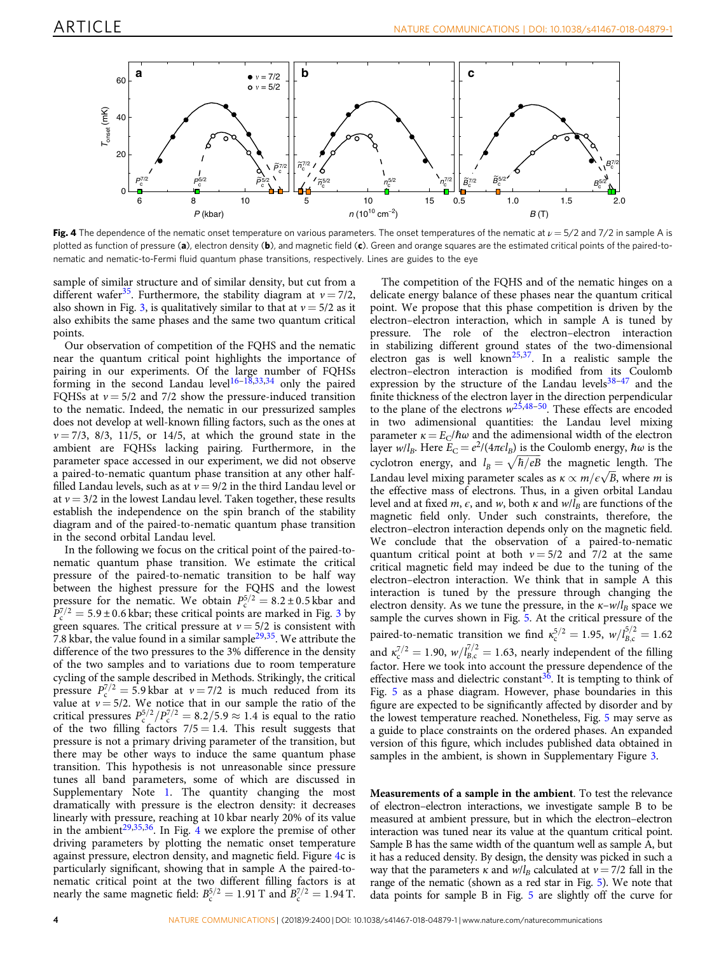<span id="page-4-0"></span>

Fig. 4 The dependence of the nematic onset temperature on various parameters. The onset temperatures of the nematic at  $\nu = 5/2$  and 7/2 in sample A is plotted as function of pressure (a), electron density (b), and magnetic field (c). Green and orange squares are the estimated critical points of the paired-tonematic and nematic-to-Fermi fluid quantum phase transitions, respectively. Lines are guides to the eye

sample of similar structure and of similar density, but cut from a different wafer<sup>35</sup>. Furthermore, the stability diagram at  $v = 7/2$ , also shown in Fig. [3](#page-3-0), is qualitatively similar to that at  $v = 5/2$  as it also exhibits the same phases and the same two quantum critical points.

Our observation of competition of the FQHS and the nematic near the quantum critical point highlights the importance of pairing in our experiments. Of the large number of FQHSs forming in the second Landau level<sup>[16](#page-6-0)–[18](#page-6-0),[33](#page-7-0),[34](#page-7-0)</sup> only the paired FQHSs at  $v = 5/2$  and 7/2 show the pressure-induced transition to the nematic. Indeed, the nematic in our pressurized samples does not develop at well-known filling factors, such as the ones at  $v = 7/3$ ,  $8/3$ ,  $11/5$ , or  $14/5$ , at which the ground state in the ambient are FQHSs lacking pairing. Furthermore, in the parameter space accessed in our experiment, we did not observe a paired-to-nematic quantum phase transition at any other halffilled Landau levels, such as at  $v = 9/2$  in the third Landau level or at  $v = 3/2$  in the lowest Landau level. Taken together, these results establish the independence on the spin branch of the stability diagram and of the paired-to-nematic quantum phase transition in the second orbital Landau level.

In the following we focus on the critical point of the paired-tonematic quantum phase transition. We estimate the critical pressure of the paired-to-nematic transition to be half way between the highest pressure for the FQHS and the lowest pressure for the nematic. We obtain  $P_c^{5/2} = 8.2 \pm 0.5$  kbar and  $P_c^{7/2}$  = 5.9 ± 0.6 kbar; these critical points are marked in Fig. [3](#page-3-0) by green squares. The critical pressure at  $v = 5/2$  is consistent with 7.8 kbar, the value found in a similar sample $29,35$  $29,35$ . We attribute the difference of the two pressures to the 3% difference in the density of the two samples and to variations due to room temperature cycling of the sample described in Methods. Strikingly, the critical pressure  $P_c^{7/2} = 5.9$  kbar at  $v = 7/2$  is much reduced from its value at  $v = 5/2$ . We notice that in our sample the ratio of the critical pressures  $P_5^{5/2}/P_5^{7/2} = 8.2/5.9 \approx 1.4$  is equal to the ratio of the two filling factors  $7/5 = 1.4$ . This result suggests that pressure is not a primary driving parameter of the transition, but there may be other ways to induce the same quantum phase transition. This hypothesis is not unreasonable since pressure tunes all band parameters, some of which are discussed in Supplementary Note 1. The quantity changing the most dramatically with pressure is the electron density: it decreases linearly with pressure, reaching at 10 kbar nearly 20% of its value in the ambient<sup>[29,](#page-6-0)35,36</sup>. In Fig. 4 we explore the premise of other driving parameters by plotting the nematic onset temperature against pressure, electron density, and magnetic field. Figure 4c is particularly significant, showing that in sample A the paired-tonematic critical point at the two different filling factors is at nearly the same magnetic field:  $B_c^{5/2} = 1.91$  T and  $B_c^{7/2} = 1.94$  T.

The competition of the FQHS and of the nematic hinges on a delicate energy balance of these phases near the quantum critical point. We propose that this phase competition is driven by the electron–electron interaction, which in sample A is tuned by pressure. The role of the electron–electron interaction in stabilizing different ground states of the two-dimensional electron gas is well known<sup>[25](#page-6-0),[37](#page-7-0)</sup>. In a realistic sample the electron–electron interaction is modified from its Coulomb expression by the structure of the Landau levels $38-47$  $38-47$  and the finite thickness of the electron layer in the direction perpendicular to the plane of the electrons  $w^{25,48-50}$  $w^{25,48-50}$  $w^{25,48-50}$  $w^{25,48-50}$ . These effects are encoded in two adimensional quantities: the Landau level mixing parameter  $\kappa = E_C/\hbar\omega$  and the adimensional width of the electron layer w/l<sub>B</sub>. Here  $E_C = e^2/(4\pi\epsilon l_B)$  is the Coulomb energy,  $\hbar\omega$  is the layer  $w/l_B$ . Here  $E_C = e^2/(4\pi\epsilon l_B)$  is the Coulomb energy,  $\hbar \omega$  is the cyclotron energy, and  $l_B = \sqrt{\hbar/eB}$  the magnetic length. The cyclotron energy, and  $l_B = \sqrt{\frac{h}{eB}}$  the magnetic length. The<br>Landau level mixing parameter scales as  $\kappa \propto m/\epsilon \sqrt{B}$ , where *m* is the effective mass of electrons. Thus, in a given orbital Landau level and at fixed m,  $\epsilon$ , and w, both  $\kappa$  and  $w/\bar{l}_B$  are functions of the magnetic field only. Under such constraints, therefore, the electron–electron interaction depends only on the magnetic field. We conclude that the observation of a paired-to-nematic quantum critical point at both  $v = 5/2$  and 7/2 at the same critical magnetic field may indeed be due to the tuning of the electron–electron interaction. We think that in sample A this interaction is tuned by the pressure through changing the electron density. As we tune the pressure, in the  $\kappa$ -w/l<sub>B</sub> space we sample the curves shown in Fig. [5](#page-5-0). At the critical pressure of the paired-to-nematic transition we find  $\kappa_c^{5/2} = 1.95$ ,  $w/l_{B,c}^{5/2} = 1.62$ and  $\kappa_c^{7/2} = 1.90$ ,  $w/l_{B,c}^{7/2} = 1.63$ , nearly independent of the filling factor. Here we took into account the pressure dependence of the effective mass and dielectric constant<sup>[36](#page-7-0)</sup>. It is tempting to think of Fig. [5](#page-5-0) as a phase diagram. However, phase boundaries in this figure are expected to be significantly affected by disorder and by the lowest temperature reached. Nonetheless, Fig. [5](#page-5-0) may serve as a guide to place constraints on the ordered phases. An expanded version of this figure, which includes published data obtained in samples in the ambient, is shown in Supplementary Figure 3.

Measurements of a sample in the ambient. To test the relevance of electron–electron interactions, we investigate sample B to be measured at ambient pressure, but in which the electron–electron interaction was tuned near its value at the quantum critical point. Sample B has the same width of the quantum well as sample A, but it has a reduced density. By design, the density was picked in such a way that the parameters  $\kappa$  and  $w/l_B$  calculated at  $v = 7/2$  fall in the range of the nematic (shown as a red star in Fig. [5](#page-5-0)). We note that data points for sample B in Fig. [5](#page-5-0) are slightly off the curve for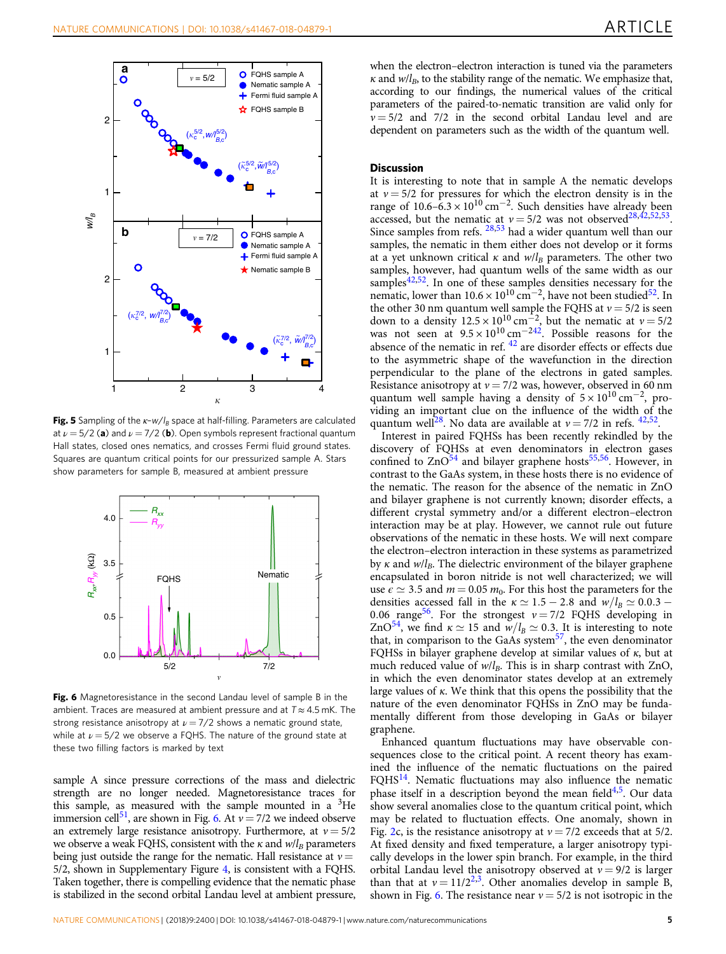<span id="page-5-0"></span>

Fig. 5 Sampling of the  $\kappa$ -w/l<sub>B</sub> space at half-filling. Parameters are calculated at  $\nu = 5/2$  (a) and  $\nu = 7/2$  (b). Open symbols represent fractional quantum Hall states, closed ones nematics, and crosses Fermi fluid ground states. Squares are quantum critical points for our pressurized sample A. Stars show parameters for sample B, measured at ambient pressure



Fig. 6 Magnetoresistance in the second Landau level of sample B in the ambient. Traces are measured at ambient pressure and at  $T \approx 4.5$  mK. The strong resistance anisotropy at  $\nu = \frac{7}{2}$  shows a nematic ground state, while at  $\nu = 5/2$  we observe a FQHS. The nature of the ground state at these two filling factors is marked by text

sample A since pressure corrections of the mass and dielectric strength are no longer needed. Magnetoresistance traces for this sample, as measured with the sample mounted in a  ${}^{3}$ He immersion cell<sup>51</sup>, are shown in Fig. 6. At  $v = 7/2$  we indeed observe an extremely large resistance anisotropy. Furthermore, at  $v = 5/2$ we observe a weak FQHS, consistent with the  $\kappa$  and  $w/l_B$  parameters being just outside the range for the nematic. Hall resistance at  $v =$ 5/2, shown in Supplementary Figure 4, is consistent with a FQHS. Taken together, there is compelling evidence that the nematic phase is stabilized in the second orbital Landau level at ambient pressure, when the electron–electron interaction is tuned via the parameters  $\kappa$  and  $w/l_B$ , to the stability range of the nematic. We emphasize that, according to our findings, the numerical values of the critical parameters of the paired-to-nematic transition are valid only for  $v = 5/2$  and 7/2 in the second orbital Landau level and are dependent on parameters such as the width of the quantum well.

#### **Discussion**

It is interesting to note that in sample A the nematic develops at  $v = 5/2$  for pressures for which the electron density is in the range of 10.6–6.3 × 10<sup>10</sup> cm<sup>-2</sup>. Such densities have already been accessed, but the nematic at  $v = 5/2$  was not observed<sup>[28](#page-6-0),42,52,53</sup>. Since samples from refs.  $28,53$  $28,53$  had a wider quantum well than our samples, the nematic in them either does not develop or it forms at a yet unknown critical  $\kappa$  and  $w/l_B$  parameters. The other two samples, however, had quantum wells of the same width as our samples $42,52$ . In one of these samples densities necessary for the nematic, lower than  $10.6 \times 10^{10}$  cm<sup>-2</sup>, have not been studied<sup>[52](#page-7-0)</sup>. In the other 30 nm quantum well sample the FQHS at  $v = 5/2$  is seen down to a density  $12.5 \times 10^{10}$  cm<sup>-2</sup>, but the nematic at  $v = 5/2$ was not seen at  $9.5 \times 10^{10}$  cm<sup>-[242](#page-7-0)</sup>. Possible reasons for the absence of the nematic in ref.  $42$  are disorder effects or effects due to the asymmetric shape of the wavefunction in the direction perpendicular to the plane of the electrons in gated samples. Resistance anisotropy at  $v = 7/2$  was, however, observed in 60 nm quantum well sample having a density of  $5 \times 10^{10}$  cm<sup>-2</sup>, providing an important clue on the influence of the width of the quantum well<sup>28</sup>. No data are available at  $v = 7/2$  in refs. <sup>42,52</sup>.

Interest in paired FQHSs has been recently rekindled by the discovery of FQHSs at even denominators in electron gases confined to  $ZnO<sup>54</sup>$  $ZnO<sup>54</sup>$  $ZnO<sup>54</sup>$  and bilayer graphene hosts<sup>55,[56](#page-7-0)</sup>. However, in contrast to the GaAs system, in these hosts there is no evidence of the nematic. The reason for the absence of the nematic in ZnO and bilayer graphene is not currently known; disorder effects, a different crystal symmetry and/or a different electron–electron interaction may be at play. However, we cannot rule out future observations of the nematic in these hosts. We will next compare the electron–electron interaction in these systems as parametrized by  $\kappa$  and  $w/l_B$ . The dielectric environment of the bilayer graphene encapsulated in boron nitride is not well characterized; we will use  $\epsilon \simeq 3.5$  and  $m = 0.05$   $m_0$ . For this host the parameters for the densities accessed fall in the  $\kappa \simeq 1.5 - 2.8$  and  $w/l_B \simeq 0.0.3 - 1.5$ 0.06 range<sup>[56](#page-7-0)</sup>. For the strongest  $v = 7/2$  FQHS developing in ZnO<sup>54</sup>, we find  $\kappa \simeq 15$  and  $w/l_B \simeq 0.3$ . It is interesting to note that, in comparison to the GaAs system<sup>57</sup>, the even denominator FQHSs in bilayer graphene develop at similar values of κ, but at much reduced value of  $w/l_B$ . This is in sharp contrast with ZnO, in which the even denominator states develop at an extremely large values of  $\kappa$ . We think that this opens the possibility that the nature of the even denominator FQHSs in ZnO may be fundamentally different from those developing in GaAs or bilayer graphene.

Enhanced quantum fluctuations may have observable consequences close to the critical point. A recent theory has examined the influence of the nematic fluctuations on the paired  $FQHS<sup>14</sup>$  $FQHS<sup>14</sup>$  $FQHS<sup>14</sup>$ . Nematic fluctuations may also influence the nematic phase itself in a description beyond the mean field<sup>[4,5](#page-6-0)</sup>. Our data show several anomalies close to the quantum critical point, which may be related to fluctuation effects. One anomaly, shown in Fig. [2c](#page-3-0), is the resistance anisotropy at  $v = 7/2$  exceeds that at 5/2. At fixed density and fixed temperature, a larger anisotropy typically develops in the lower spin branch. For example, in the third orbital Landau level the anisotropy observed at  $v = 9/2$  is larger than that at  $v = 11/2^{2,3}$ . Other anomalies develop in sample B, shown in Fig. 6. The resistance near  $v = 5/2$  is not isotropic in the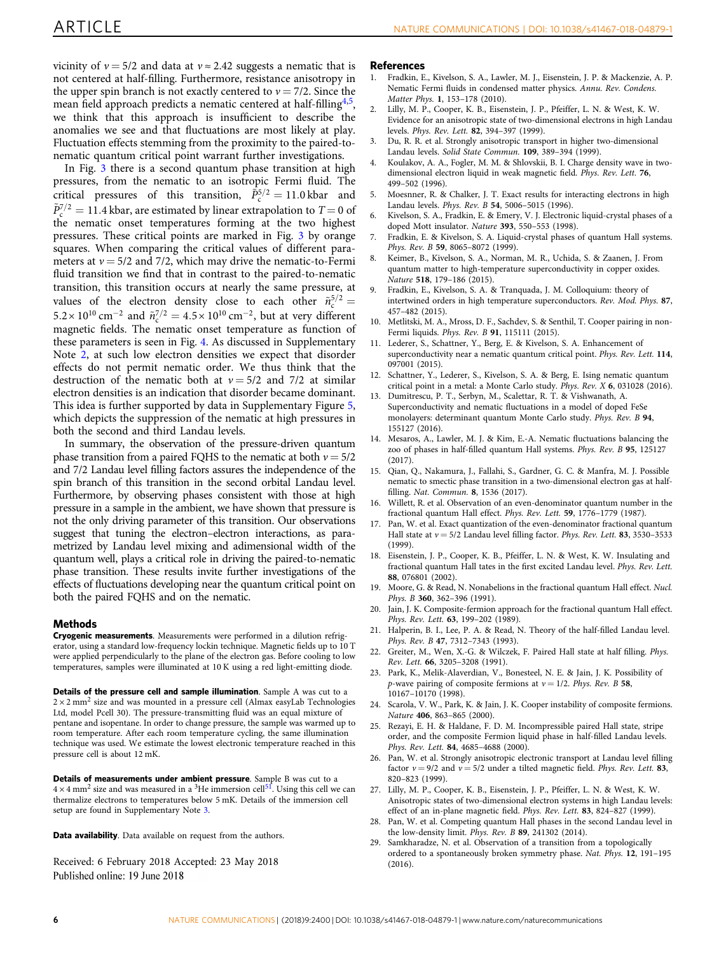<span id="page-6-0"></span>vicinity of  $v = 5/2$  and data at  $v \approx 2.42$  suggests a nematic that is not centered at half-filling. Furthermore, resistance anisotropy in the upper spin branch is not exactly centered to  $v = 7/2$ . Since the mean field approach predicts a nematic centered at half-filling<sup>4,5</sup>, we think that this approach is insufficient to describe the anomalies we see and that fluctuations are most likely at play. Fluctuation effects stemming from the proximity to the paired-tonematic quantum critical point warrant further investigations.

In Fig. [3](#page-3-0) there is a second quantum phase transition at high pressures, from the nematic to an isotropic Fermi fluid. The critical pressures of this transition,  $\tilde{P}_{c}^{5/2} = 11.0$  kbar and  $\tilde{P}_{\rm c}^{7/2} = 11.4$  kbar, are estimated by linear extrapolation to  $T = 0$  of the nematic onset temperatures forming at the two highest pressures. These critical points are marked in Fig. [3](#page-3-0) by orange squares. When comparing the critical values of different parameters at  $v = 5/2$  and 7/2, which may drive the nematic-to-Fermi fluid transition we find that in contrast to the paired-to-nematic transition, this transition occurs at nearly the same pressure, at values of the electron density close to each other  $\tilde{n}_{\rm c}^{5/2}$  =  $5.2 \times 10^{10}$  cm<sup>-2</sup> and  $\tilde{n}_{c}^{7/2} = 4.5 \times 10^{10}$  cm<sup>-2</sup>, but at very different magnetic fields. The nematic onset temperature as function of these parameters is seen in Fig. [4.](#page-4-0) As discussed in Supplementary Note 2, at such low electron densities we expect that disorder effects do not permit nematic order. We thus think that the destruction of the nematic both at  $v = 5/2$  and 7/2 at similar electron densities is an indication that disorder became dominant. This idea is further supported by data in Supplementary Figure 5, which depicts the suppression of the nematic at high pressures in both the second and third Landau levels.

In summary, the observation of the pressure-driven quantum phase transition from a paired FQHS to the nematic at both  $v = 5/2$ and 7/2 Landau level filling factors assures the independence of the spin branch of this transition in the second orbital Landau level. Furthermore, by observing phases consistent with those at high pressure in a sample in the ambient, we have shown that pressure is not the only driving parameter of this transition. Our observations suggest that tuning the electron–electron interactions, as parametrized by Landau level mixing and adimensional width of the quantum well, plays a critical role in driving the paired-to-nematic phase transition. These results invite further investigations of the effects of fluctuations developing near the quantum critical point on both the paired FQHS and on the nematic.

#### Methods

Cryogenic measurements. Measurements were performed in a dilution refrigerator, using a standard low-frequency lockin technique. Magnetic fields up to 10 T were applied perpendicularly to the plane of the electron gas. Before cooling to low temperatures, samples were illuminated at 10 K using a red light-emitting diode.

Details of the pressure cell and sample illumination. Sample A was cut to a  $2 \times 2$  mm<sup>2</sup> size and was mounted in a pressure cell (Almax easyLab Technologies Ltd, model Pcell 30). The pressure-transmitting fluid was an equal mixture of pentane and isopentane. In order to change pressure, the sample was warmed up to room temperature. After each room temperature cycling, the same illumination technique was used. We estimate the lowest electronic temperature reached in this pressure cell is about 12 mK.

Details of measurements under ambient pressure. Sample B was cut to a  $4 \times 4$  mm<sup>2</sup> size and was measured in a <sup>3</sup>He immersion cell<sup>51</sup>. Using this cell we can thermalize electrons to temperatures below 5 mK. Details of the immersion cell setup are found in Supplementary Note 3.

Data availability. Data available on request from the authors.

Received: 6 February 2018 Accepted: 23 May 2018 Published online: 19 June 2018

#### References

- 1. Fradkin, E., Kivelson, S. A., Lawler, M. J., Eisenstein, J. P. & Mackenzie, A. P. Nematic Fermi fluids in condensed matter physics. Annu. Rev. Condens. Matter Phys. 1, 153–178 (2010).
- 2. Lilly, M. P., Cooper, K. B., Eisenstein, J. P., Pfeiffer, L. N. & West, K. W. Evidence for an anisotropic state of two-dimensional electrons in high Landau levels. Phys. Rev. Lett. 82, 394–397 (1999).
- 3. Du, R. R. et al. Strongly anisotropic transport in higher two-dimensional Landau levels. Solid State Commun. 109, 389–394 (1999).
- 4. Koulakov, A. A., Fogler, M. M. & Shlovskii, B. I. Charge density wave in twodimensional electron liquid in weak magnetic field. Phys. Rev. Lett. 76, 499–502 (1996).
- Moesnner, R. & Chalker, J. T. Exact results for interacting electrons in high Landau levels. Phys. Rev. B 54, 5006–5015 (1996).
- 6. Kivelson, S. A., Fradkin, E. & Emery, V. J. Electronic liquid-crystal phases of a doped Mott insulator. Nature 393, 550–553 (1998).
- 7. Fradkin, E. & Kivelson, S. A. Liquid-crystal phases of quantum Hall systems. Phys. Rev. B 59, 8065–8072 (1999).
- 8. Keimer, B., Kivelson, S. A., Norman, M. R., Uchida, S. & Zaanen, J. From quantum matter to high-temperature superconductivity in copper oxides. Nature 518, 179–186 (2015).
- 9. Fradkin, E., Kivelson, S. A. & Tranquada, J. M. Colloquium: theory of intertwined orders in high temperature superconductors. Rev. Mod. Phys. 87, 457–482 (2015).
- 10. Metlitski, M. A., Mross, D. F., Sachdev, S. & Senthil, T. Cooper pairing in non-Fermi liquids. Phys. Rev. B 91, 115111 (2015).
- 11. Lederer, S., Schattner, Y., Berg, E. & Kivelson, S. A. Enhancement of superconductivity near a nematic quantum critical point. Phys. Rev. Lett. 114, 097001 (2015).
- 12. Schattner, Y., Lederer, S., Kivelson, S. A. & Berg, E. Ising nematic quantum critical point in a metal: a Monte Carlo study. Phys. Rev. X 6, 031028 (2016).
- 13. Dumitrescu, P. T., Serbyn, M., Scalettar, R. T. & Vishwanath, A. Superconductivity and nematic fluctuations in a model of doped FeSe monolayers: determinant quantum Monte Carlo study. Phys. Rev. B 94, 155127 (2016).
- 14. Mesaros, A., Lawler, M. J. & Kim, E.-A. Nematic fluctuations balancing the zoo of phases in half-filled quantum Hall systems. Phys. Rev. B 95, 125127 (2017).
- 15. Qian, Q., Nakamura, J., Fallahi, S., Gardner, G. C. & Manfra, M. J. Possible nematic to smectic phase transition in a two-dimensional electron gas at halffilling. Nat. Commun. 8, 1536 (2017).
- 16. Willett, R. et al. Observation of an even-denominator quantum number in the fractional quantum Hall effect. Phys. Rev. Lett. 59, 1776–1779 (1987).
- Pan, W. et al. Exact quantization of the even-denominator fractional quantum Hall state at  $v = 5/2$  Landau level filling factor. Phys. Rev. Lett. 83, 3530-3533 (1999).
- 18. Eisenstein, J. P., Cooper, K. B., Pfeiffer, L. N. & West, K. W. Insulating and fractional quantum Hall tates in the first excited Landau level. Phys. Rev. Lett. 88, 076801 (2002).
- 19. Moore, G. & Read, N. Nonabelions in the fractional quantum Hall effect. Nucl. Phys. B 360, 362–396 (1991).
- 20. Jain, J. K. Composite-fermion approach for the fractional quantum Hall effect. Phys. Rev. Lett. 63, 199–202 (1989).
- 21. Halperin, B. I., Lee, P. A. & Read, N. Theory of the half-filled Landau level. Phys. Rev. B 47, 7312–7343 (1993).
- Greiter, M., Wen, X.-G. & Wilczek, F. Paired Hall state at half filling. Phys. Rev. Lett. 66, 3205–3208 (1991).
- 23. Park, K., Melik-Alaverdian, V., Bonesteel, N. E. & Jain, J. K. Possibility of p-wave pairing of composite fermions at  $v = 1/2$ . Phys. Rev. B 58, 10167–10170 (1998).
- 24. Scarola, V. W., Park, K. & Jain, J. K. Cooper instability of composite fermions. Nature 406, 863–865 (2000).
- 25. Rezayi, E. H. & Haldane, F. D. M. Incompressible paired Hall state, stripe order, and the composite Fermion liquid phase in half-filled Landau levels. Phys. Rev. Lett. 84, 4685–4688 (2000).
- 26. Pan, W. et al. Strongly anisotropic electronic transport at Landau level filling factor  $v = 9/2$  and  $v = 5/2$  under a tilted magnetic field. Phys. Rev. Lett. 83, 820–823 (1999).
- 27. Lilly, M. P., Cooper, K. B., Eisenstein, J. P., Pfeiffer, L. N. & West, K. W. Anisotropic states of two-dimensional electron systems in high Landau levels: effect of an in-plane magnetic field. Phys. Rev. Lett. 83, 824–827 (1999).
- 28. Pan, W. et al. Competing quantum Hall phases in the second Landau level in the low-density limit. Phys. Rev. B 89, 241302 (2014).
- 29. Samkharadze, N. et al. Observation of a transition from a topologically ordered to a spontaneously broken symmetry phase. Nat. Phys. 12, 191–195 (2016).